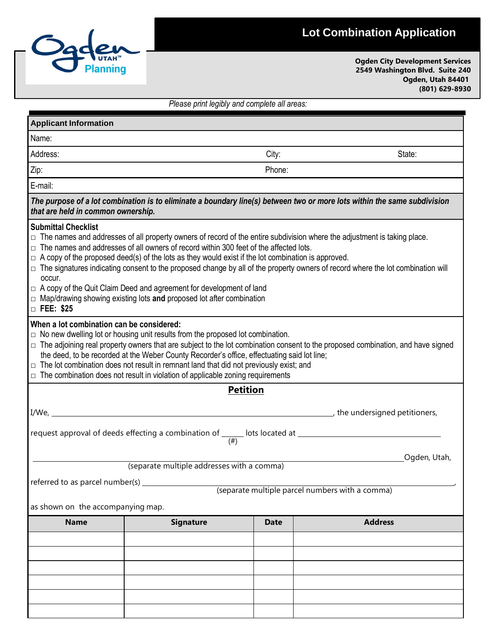## **Lot Combination Application**



**Ogden City Development Services 2549 Washington Blvd. Suite 240 Ogden, Utah 84401 (801) 629-8930**

|                                                                                                                       |                                                                                                                                                                                                                                                                                                                                                                                                                                                                                                                                                                                                                                                   | Please print legibly and complete all areas: |                                                                                                                                                                                                                                                                                                                                                                                                              |  |  |  |  |
|-----------------------------------------------------------------------------------------------------------------------|---------------------------------------------------------------------------------------------------------------------------------------------------------------------------------------------------------------------------------------------------------------------------------------------------------------------------------------------------------------------------------------------------------------------------------------------------------------------------------------------------------------------------------------------------------------------------------------------------------------------------------------------------|----------------------------------------------|--------------------------------------------------------------------------------------------------------------------------------------------------------------------------------------------------------------------------------------------------------------------------------------------------------------------------------------------------------------------------------------------------------------|--|--|--|--|
| <b>Applicant Information</b>                                                                                          |                                                                                                                                                                                                                                                                                                                                                                                                                                                                                                                                                                                                                                                   |                                              |                                                                                                                                                                                                                                                                                                                                                                                                              |  |  |  |  |
| Name:                                                                                                                 |                                                                                                                                                                                                                                                                                                                                                                                                                                                                                                                                                                                                                                                   |                                              |                                                                                                                                                                                                                                                                                                                                                                                                              |  |  |  |  |
| Address:                                                                                                              | State:<br>City:                                                                                                                                                                                                                                                                                                                                                                                                                                                                                                                                                                                                                                   |                                              |                                                                                                                                                                                                                                                                                                                                                                                                              |  |  |  |  |
| Zip:                                                                                                                  |                                                                                                                                                                                                                                                                                                                                                                                                                                                                                                                                                                                                                                                   | Phone:                                       |                                                                                                                                                                                                                                                                                                                                                                                                              |  |  |  |  |
| E-mail:                                                                                                               |                                                                                                                                                                                                                                                                                                                                                                                                                                                                                                                                                                                                                                                   |                                              |                                                                                                                                                                                                                                                                                                                                                                                                              |  |  |  |  |
| that are held in common ownership.                                                                                    |                                                                                                                                                                                                                                                                                                                                                                                                                                                                                                                                                                                                                                                   |                                              | The purpose of a lot combination is to eliminate a boundary line(s) between two or more lots within the same subdivision                                                                                                                                                                                                                                                                                     |  |  |  |  |
| <b>Submittal Checklist</b><br>П.<br>occur.<br>$\Box$ FEE: \$25<br>When a lot combination can be considered:<br>$\Box$ | The names and addresses of all owners of record within 300 feet of the affected lots.<br>$\Box$ A copy of the proposed deed(s) of the lots as they would exist if the lot combination is approved.<br>$\Box$ A copy of the Quit Claim Deed and agreement for development of land<br>$\Box$ Map/drawing showing existing lots and proposed lot after combination<br>$\Box$ No new dwelling lot or housing unit results from the proposed lot combination.<br>the deed, to be recorded at the Weber County Recorder's office, effectuating said lot line;<br>The lot combination does not result in remnant land that did not previously exist; and |                                              | $\Box$ The names and addresses of all property owners of record of the entire subdivision where the adjustment is taking place.<br>$\Box$ The signatures indicating consent to the proposed change by all of the property owners of record where the lot combination will<br>The adjoining real property owners that are subject to the lot combination consent to the proposed combination, and have signed |  |  |  |  |
|                                                                                                                       | $\Box$ The combination does not result in violation of applicable zoning requirements                                                                                                                                                                                                                                                                                                                                                                                                                                                                                                                                                             |                                              |                                                                                                                                                                                                                                                                                                                                                                                                              |  |  |  |  |
|                                                                                                                       |                                                                                                                                                                                                                                                                                                                                                                                                                                                                                                                                                                                                                                                   | <b>Petition</b>                              |                                                                                                                                                                                                                                                                                                                                                                                                              |  |  |  |  |
| I/We,                                                                                                                 | $\overline{\phantom{a}}$ , the undersigned petitioners,                                                                                                                                                                                                                                                                                                                                                                                                                                                                                                                                                                                           |                                              |                                                                                                                                                                                                                                                                                                                                                                                                              |  |  |  |  |
|                                                                                                                       | request approval of deeds effecting a combination of ______ lots located at _<br>$(\#)$                                                                                                                                                                                                                                                                                                                                                                                                                                                                                                                                                           |                                              |                                                                                                                                                                                                                                                                                                                                                                                                              |  |  |  |  |
|                                                                                                                       |                                                                                                                                                                                                                                                                                                                                                                                                                                                                                                                                                                                                                                                   |                                              | Ogden, Utah,                                                                                                                                                                                                                                                                                                                                                                                                 |  |  |  |  |
|                                                                                                                       | (separate multiple addresses with a comma)                                                                                                                                                                                                                                                                                                                                                                                                                                                                                                                                                                                                        |                                              |                                                                                                                                                                                                                                                                                                                                                                                                              |  |  |  |  |
| referred to as parcel number(s) _______                                                                               |                                                                                                                                                                                                                                                                                                                                                                                                                                                                                                                                                                                                                                                   |                                              | (separate multiple parcel numbers with a comma)                                                                                                                                                                                                                                                                                                                                                              |  |  |  |  |
| as shown on the accompanying map.                                                                                     |                                                                                                                                                                                                                                                                                                                                                                                                                                                                                                                                                                                                                                                   |                                              |                                                                                                                                                                                                                                                                                                                                                                                                              |  |  |  |  |
| <b>Name</b>                                                                                                           | <b>Signature</b>                                                                                                                                                                                                                                                                                                                                                                                                                                                                                                                                                                                                                                  | <b>Date</b>                                  | <b>Address</b>                                                                                                                                                                                                                                                                                                                                                                                               |  |  |  |  |
|                                                                                                                       |                                                                                                                                                                                                                                                                                                                                                                                                                                                                                                                                                                                                                                                   |                                              |                                                                                                                                                                                                                                                                                                                                                                                                              |  |  |  |  |
|                                                                                                                       |                                                                                                                                                                                                                                                                                                                                                                                                                                                                                                                                                                                                                                                   |                                              |                                                                                                                                                                                                                                                                                                                                                                                                              |  |  |  |  |
|                                                                                                                       |                                                                                                                                                                                                                                                                                                                                                                                                                                                                                                                                                                                                                                                   |                                              |                                                                                                                                                                                                                                                                                                                                                                                                              |  |  |  |  |
|                                                                                                                       |                                                                                                                                                                                                                                                                                                                                                                                                                                                                                                                                                                                                                                                   |                                              |                                                                                                                                                                                                                                                                                                                                                                                                              |  |  |  |  |
|                                                                                                                       |                                                                                                                                                                                                                                                                                                                                                                                                                                                                                                                                                                                                                                                   |                                              |                                                                                                                                                                                                                                                                                                                                                                                                              |  |  |  |  |
|                                                                                                                       |                                                                                                                                                                                                                                                                                                                                                                                                                                                                                                                                                                                                                                                   |                                              |                                                                                                                                                                                                                                                                                                                                                                                                              |  |  |  |  |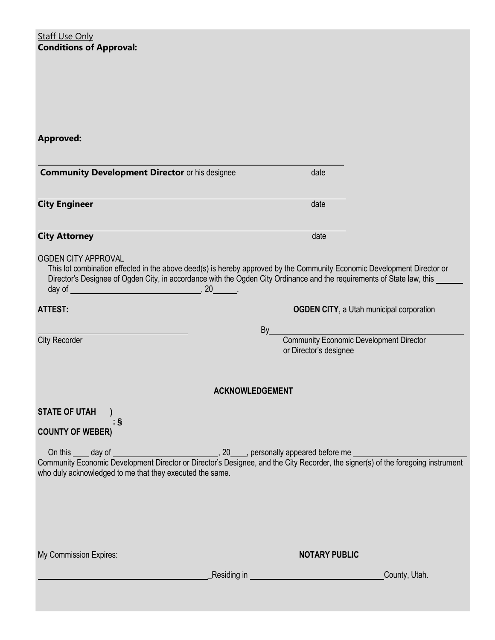**Staff Use Only Conditions of Approval:**

**Approved:**

| <b>Community Development Director or his designee</b>                                                                                                                                                                                                                              | date                                                                     |
|------------------------------------------------------------------------------------------------------------------------------------------------------------------------------------------------------------------------------------------------------------------------------------|--------------------------------------------------------------------------|
| <b>City Engineer</b>                                                                                                                                                                                                                                                               | date                                                                     |
| <b>City Attorney</b>                                                                                                                                                                                                                                                               | date                                                                     |
| <b>OGDEN CITY APPROVAL</b><br>This lot combination effected in the above deed(s) is hereby approved by the Community Economic Development Director or<br>Director's Designee of Ogden City, in accordance with the Ogden City Ordinance and the requirements of State law, this __ |                                                                          |
| <b>ATTEST:</b>                                                                                                                                                                                                                                                                     | <b>OGDEN CITY, a Utah municipal corporation</b>                          |
|                                                                                                                                                                                                                                                                                    | By                                                                       |
| <b>City Recorder</b>                                                                                                                                                                                                                                                               | <b>Community Economic Development Director</b><br>or Director's designee |
|                                                                                                                                                                                                                                                                                    | <b>ACKNOWLEDGEMENT</b>                                                   |
| <b>STATE OF UTAH</b>                                                                                                                                                                                                                                                               |                                                                          |
| : §<br><b>COUNTY OF WEBER)</b>                                                                                                                                                                                                                                                     |                                                                          |
|                                                                                                                                                                                                                                                                                    |                                                                          |
|                                                                                                                                                                                                                                                                                    |                                                                          |
| who duly acknowledged to me that they executed the same.                                                                                                                                                                                                                           |                                                                          |
|                                                                                                                                                                                                                                                                                    |                                                                          |
|                                                                                                                                                                                                                                                                                    |                                                                          |
|                                                                                                                                                                                                                                                                                    |                                                                          |
|                                                                                                                                                                                                                                                                                    |                                                                          |
| My Commission Expires:                                                                                                                                                                                                                                                             | <b>NOTARY PUBLIC</b>                                                     |
|                                                                                                                                                                                                                                                                                    |                                                                          |
|                                                                                                                                                                                                                                                                                    | Residing in ________________________________<br>County, Utah.            |
|                                                                                                                                                                                                                                                                                    |                                                                          |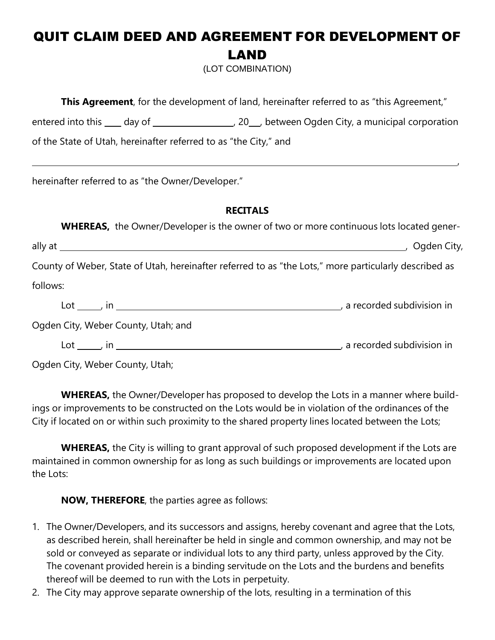## QUIT CLAIM DEED AND AGREEMENT FOR DEVELOPMENT OF LAND

(LOT COMBINATION)

| <b>This Agreement</b> , for the development of land, hereinafter referred to as "this Agreement,"                                     |  |  |  |  |  |  |
|---------------------------------------------------------------------------------------------------------------------------------------|--|--|--|--|--|--|
|                                                                                                                                       |  |  |  |  |  |  |
| of the State of Utah, hereinafter referred to as "the City," and                                                                      |  |  |  |  |  |  |
| ,我们也不会有什么。""我们的人,我们也不会有什么?""我们的人,我们也不会有什么?""我们的人,我们也不会有什么?""我们的人,我们也不会有什么?""我们的人<br>hereinafter referred to as "the Owner/Developer." |  |  |  |  |  |  |
| <b>RECITALS</b>                                                                                                                       |  |  |  |  |  |  |
| <b>WHEREAS,</b> the Owner/Developer is the owner of two or more continuous lots located gener-                                        |  |  |  |  |  |  |
|                                                                                                                                       |  |  |  |  |  |  |
| County of Weber, State of Utah, hereinafter referred to as "the Lots," more particularly described as                                 |  |  |  |  |  |  |
| follows:                                                                                                                              |  |  |  |  |  |  |
|                                                                                                                                       |  |  |  |  |  |  |
| Ogden City, Weber County, Utah; and                                                                                                   |  |  |  |  |  |  |
|                                                                                                                                       |  |  |  |  |  |  |
| Ogden City, Weber County, Utah;                                                                                                       |  |  |  |  |  |  |

**WHEREAS,** the Owner/Developer has proposed to develop the Lots in a manner where buildings or improvements to be constructed on the Lots would be in violation of the ordinances of the City if located on or within such proximity to the shared property lines located between the Lots;

**WHEREAS,** the City is willing to grant approval of such proposed development if the Lots are maintained in common ownership for as long as such buildings or improvements are located upon the Lots:

**NOW, THEREFORE**, the parties agree as follows:

- 1. The Owner/Developers, and its successors and assigns, hereby covenant and agree that the Lots, as described herein, shall hereinafter be held in single and common ownership, and may not be sold or conveyed as separate or individual lots to any third party, unless approved by the City. The covenant provided herein is a binding servitude on the Lots and the burdens and benefits thereof will be deemed to run with the Lots in perpetuity.
- 2. The City may approve separate ownership of the lots, resulting in a termination of this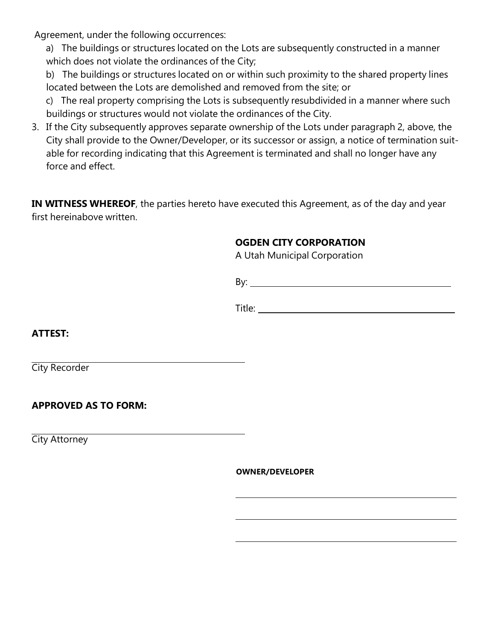Agreement, under the following occurrences:

a) The buildings or structures located on the Lots are subsequently constructed in a manner which does not violate the ordinances of the City;

b) The buildings or structures located on or within such proximity to the shared property lines located between the Lots are demolished and removed from the site; or

c) The real property comprising the Lots is subsequently resubdivided in a manner where such buildings or structures would not violate the ordinances of the City.

3. If the City subsequently approves separate ownership of the Lots under paragraph 2, above, the City shall provide to the Owner/Developer, or its successor or assign, a notice of termination suitable for recording indicating that this Agreement is terminated and shall no longer have any force and effect.

**IN WITNESS WHEREOF**, the parties hereto have executed this Agreement, as of the day and year first hereinabove written.

## **OGDEN CITY CORPORATION**

A Utah Municipal Corporation

By:

Title: **The Community of the Community of the Community of the Community of the Community of the Community of the Community of the Community of the Community of the Community of the Community of the Community of the Commun** 

**ATTEST:**

City Recorder

**APPROVED AS TO FORM:**

City Attorney

**OWNER/DEVELOPER**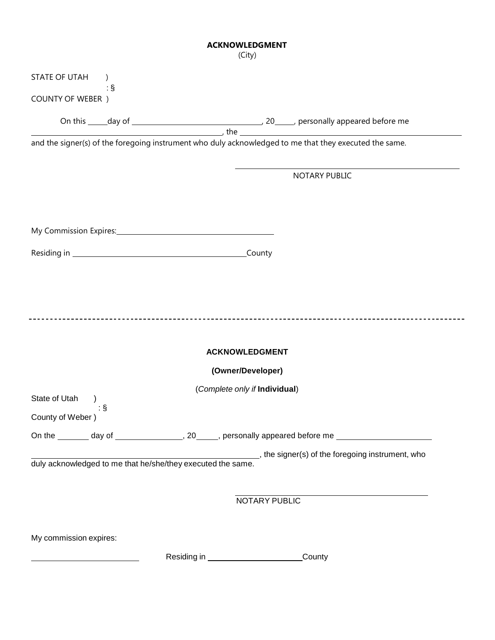## **ACKNOWLEDGMENT**

|                                                 | (City)                                                                                                     |
|-------------------------------------------------|------------------------------------------------------------------------------------------------------------|
| <b>STATE OF UTAH</b>                            |                                                                                                            |
| $\dot{\mathcal{S}}$<br><b>COUNTY OF WEBER</b> ) |                                                                                                            |
|                                                 |                                                                                                            |
|                                                 | and the signer(s) of the foregoing instrument who duly acknowledged to me that they executed the same.     |
|                                                 |                                                                                                            |
|                                                 | <b>NOTARY PUBLIC</b>                                                                                       |
|                                                 |                                                                                                            |
|                                                 |                                                                                                            |
|                                                 |                                                                                                            |
|                                                 |                                                                                                            |
|                                                 |                                                                                                            |
|                                                 |                                                                                                            |
| ___________________________                     |                                                                                                            |
|                                                 |                                                                                                            |
|                                                 | <b>ACKNOWLEDGMENT</b>                                                                                      |
|                                                 | (Owner/Developer)                                                                                          |
| State of Utah                                   | (Complete only if Individual)                                                                              |
| ∶§<br>County of Weber)                          |                                                                                                            |
|                                                 | On the ________ day of _________________, 20_____, personally appeared before me ___________________       |
|                                                 | duly acknowledged to me that he/she/they executed the same. who signer(s) of the foregoing instrument, who |
|                                                 |                                                                                                            |
|                                                 |                                                                                                            |
|                                                 | NOTARY PUBLIC                                                                                              |
|                                                 |                                                                                                            |
| My commission expires:                          |                                                                                                            |

Residing in \_\_\_\_\_\_\_\_\_\_\_\_\_\_\_\_\_\_\_\_\_\_\_\_\_\_\_\_\_County

<u> 1989 - Johann Barnett, fransk politik (</u>